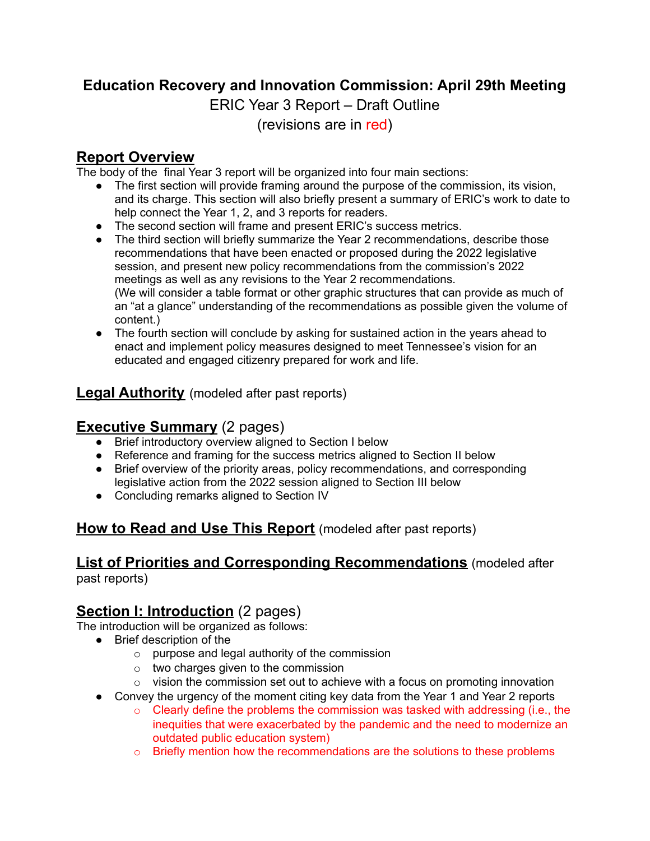# **Education Recovery and Innovation Commission: April 29th Meeting**

ERIC Year 3 Report – Draft Outline

(revisions are in red)

#### **Report Overview**

The body of the final Year 3 report will be organized into four main sections:

- The first section will provide framing around the purpose of the commission, its vision, and its charge. This section will also briefly present a summary of ERIC's work to date to help connect the Year 1, 2, and 3 reports for readers.
- The second section will frame and present ERIC's success metrics.
- The third section will briefly summarize the Year 2 recommendations, describe those recommendations that have been enacted or proposed during the 2022 legislative session, and present new policy recommendations from the commission's 2022 meetings as well as any revisions to the Year 2 recommendations. (We will consider a table format or other graphic structures that can provide as much of an "at a glance" understanding of the recommendations as possible given the volume of content.)
- The fourth section will conclude by asking for sustained action in the years ahead to enact and implement policy measures designed to meet Tennessee's vision for an educated and engaged citizenry prepared for work and life.

### **Legal Authority** (modeled after past reports)

### **Executive Summary** (2 pages)

- Brief introductory overview aligned to Section I below
- Reference and framing for the success metrics aligned to Section II below
- Brief overview of the priority areas, policy recommendations, and corresponding legislative action from the 2022 session aligned to Section III below
- Concluding remarks aligned to Section IV

# **How to Read and Use This Report** (modeled after past reports)

# **List of Priorities and Corresponding Recommendations** (modeled after

past reports)

# **Section I: Introduction** (2 pages)

The introduction will be organized as follows:

- Brief description of the
	- $\circ$  purpose and legal authority of the commission
	- o two charges given to the commission
	- $\circ$  vision the commission set out to achieve with a focus on promoting innovation
- Convey the urgency of the moment citing key data from the Year 1 and Year 2 reports
	- $\circ$  Clearly define the problems the commission was tasked with addressing (i.e., the inequities that were exacerbated by the pandemic and the need to modernize an outdated public education system)
	- $\circ$  Briefly mention how the recommendations are the solutions to these problems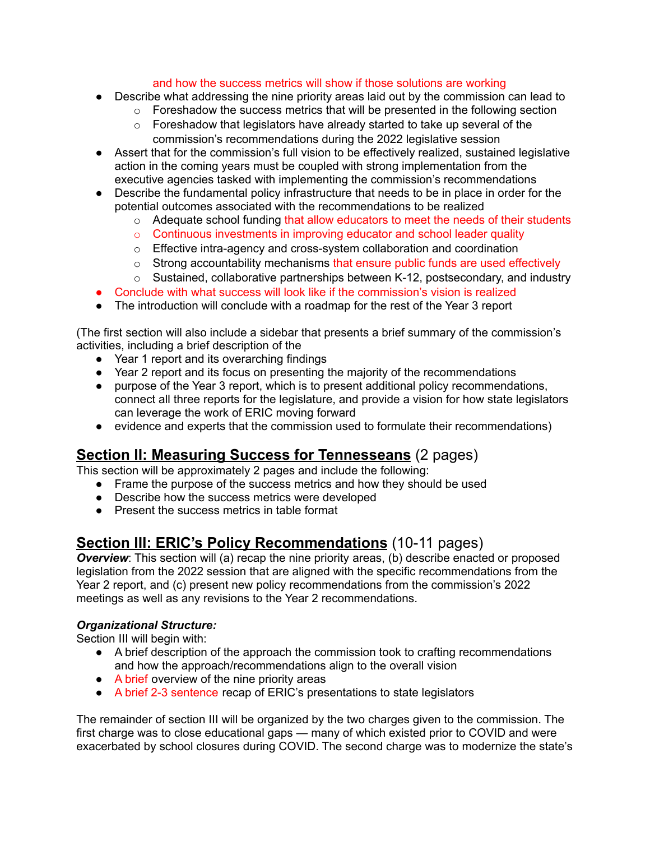#### and how the success metrics will show if those solutions are working

- Describe what addressing the nine priority areas laid out by the commission can lead to
	- o Foreshadow the success metrics that will be presented in the following section
	- $\circ$  Foreshadow that legislators have already started to take up several of the commission's recommendations during the 2022 legislative session
- Assert that for the commission's full vision to be effectively realized, sustained legislative action in the coming years must be coupled with strong implementation from the executive agencies tasked with implementing the commission's recommendations
- Describe the fundamental policy infrastructure that needs to be in place in order for the potential outcomes associated with the recommendations to be realized
	- $\circ$  Adequate school funding that allow educators to meet the needs of their students
	- o Continuous investments in improving educator and school leader quality
	- o Effective intra-agency and cross-system collaboration and coordination
	- $\circ$  Strong accountability mechanisms that ensure public funds are used effectively
	- $\circ$  Sustained, collaborative partnerships between K-12, postsecondary, and industry
- Conclude with what success will look like if the commission's vision is realized
- The introduction will conclude with a roadmap for the rest of the Year 3 report

(The first section will also include a sidebar that presents a brief summary of the commission's activities, including a brief description of the

- Year 1 report and its overarching findings
- Year 2 report and its focus on presenting the majority of the recommendations
- purpose of the Year 3 report, which is to present additional policy recommendations, connect all three reports for the legislature, and provide a vision for how state legislators can leverage the work of ERIC moving forward
- evidence and experts that the commission used to formulate their recommendations)

#### **Section II: Measuring Success for Tennesseans** (2 pages)

This section will be approximately 2 pages and include the following:

- Frame the purpose of the success metrics and how they should be used
- Describe how the success metrics were developed
- Present the success metrics in table format

#### **Section III: ERIC's Policy Recommendations** (10-11 pages)

**Overview**: This section will (a) recap the nine priority areas, (b) describe enacted or proposed legislation from the 2022 session that are aligned with the specific recommendations from the Year 2 report, and (c) present new policy recommendations from the commission's 2022 meetings as well as any revisions to the Year 2 recommendations.

#### *Organizational Structure:*

Section III will begin with:

- A brief description of the approach the commission took to crafting recommendations and how the approach/recommendations align to the overall vision
- A brief overview of the nine priority areas
- A brief 2-3 sentence recap of ERIC's presentations to state legislators

The remainder of section III will be organized by the two charges given to the commission. The first charge was to close educational gaps — many of which existed prior to COVID and were exacerbated by school closures during COVID. The second charge was to modernize the state's